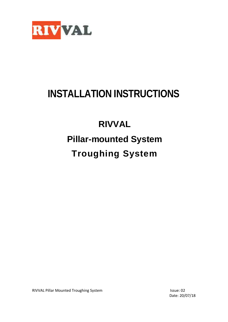

# **INSTALLATION INSTRUCTIONS**

# **RIVVAL Pillar-mounted System Troughing System**

RIVVAL Pillar Mounted Troughing System Issue: 02

Date: 20/07/18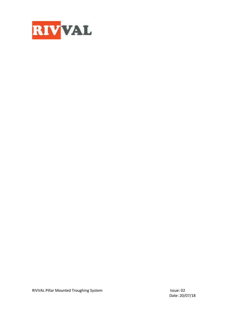

RIVVAL Pillar Mounted Troughing System Issue: 02

Date: 20/07/18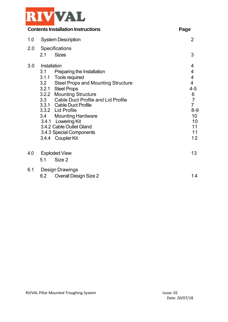

|     | <b>Contents Installation Instructions</b>                                                                                                                                                                                                                                                                                                                                                                                           | Page                                                                                                                                                                                     |
|-----|-------------------------------------------------------------------------------------------------------------------------------------------------------------------------------------------------------------------------------------------------------------------------------------------------------------------------------------------------------------------------------------------------------------------------------------|------------------------------------------------------------------------------------------------------------------------------------------------------------------------------------------|
| 1.0 | <b>System Description</b>                                                                                                                                                                                                                                                                                                                                                                                                           | $\overline{2}$<br>3<br>4<br>4<br>$\overline{\mathcal{A}}$<br>$\overline{\mathbf{4}}$<br>$4 - 5$<br>$\frac{6}{7}$<br>$\overline{7}$<br>$8 - 9$<br>10 <sup>°</sup><br>10<br>11<br>11<br>12 |
| 2.0 | Specifications<br><b>Sizes</b><br>2.1                                                                                                                                                                                                                                                                                                                                                                                               |                                                                                                                                                                                          |
| 3.0 | Installation<br>3.1<br>Preparing the Installation<br>3.1.1 Tools required<br>3.2<br><b>Steel Props and Mounting Structure</b><br><b>Steel Props</b><br>3.2.1<br><b>Mounting Structure</b><br>3.2.2<br>3.3 Cable Duct Profile and Lid Profile<br>3.3.1 Cable Duct Profile<br>3.3.2 Lid Profile<br><b>Mounting Hardware</b><br>3.4<br>3.4.1 Lowering Kit<br>3.4.2 Cable Outlet Gland<br>3.4.3 Special Components<br>3.4.4 Coupler Kit |                                                                                                                                                                                          |
| 4.0 | <b>Exploded View</b><br>Size 2<br>5.1                                                                                                                                                                                                                                                                                                                                                                                               | 13                                                                                                                                                                                       |
| 6.1 | Design Drawings<br><b>Overall Design Size 2</b><br>6.2                                                                                                                                                                                                                                                                                                                                                                              | 14                                                                                                                                                                                       |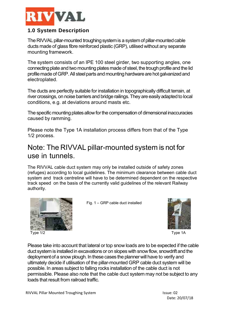

# <span id="page-3-0"></span>**1.0 System Description**

The RIVVAL pillar-mounted troughing system is a system of pillar-mounted cable ducts made of glass fibre reinforced plastic (GRP), utilised without any separate mounting framework.

The system consists of an IPE 100 steel girder, two supporting angles, one connecting plate and two mounting plates made of steel, the trough profile and the lid profile made of GRP. All steel parts and mounting hardware are hot galvanized and electroplated.

The ducts are perfectly suitable for installation in topographically difficult terrain, at river crossings, on noise barriers and bridge railings. They are easily adapted to local conditions, e.g. at deviations around masts etc.

The specific mounting plates allow for the compensation of dimensional inaccuracies caused by ramming.

Please note the Type 1A installation process differs from that of the Type 1/2 process.

# Note: The RIVVAL pillar-mounted system is not for use in tunnels.

The RIVVAL cable duct system may only be installed outside of safety zones (refuges) according to local guidelines. The minimum clearance between cable duct system and track centreline will have to be determined dependent on the respective track speed on the basis of the currently valid guidelines of the relevant Railway authority.



Fig. 1 – GRP cable duct installed



Please take into account that lateral or top snow loads are to be expected if the cable duct system is installed in excavations or on slopes with snow flow, snowdrift and the deploymentof a snow plough. In these cases the plannerwill have to verify and ultimately decide if utilisation of the pillar-mounted GRP cable duct system will be possible. In areas subject to falling rocks installation of the cable duct is not permissible. Please also note that the cable duct system may not be subject to any loads that result from railroad traffic.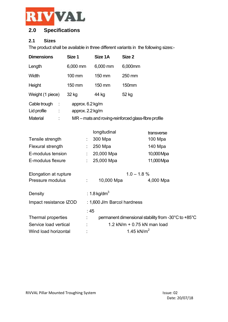

# <span id="page-4-0"></span>**2.0 Specifications**

### **2.1 Sizes**

The product shall be available in three different variants in the following sizes:-

| Size 1                  | Size 1A                                             | Size 2                                                                                                                                    |                                                                                                  |  |
|-------------------------|-----------------------------------------------------|-------------------------------------------------------------------------------------------------------------------------------------------|--------------------------------------------------------------------------------------------------|--|
| 6,000 mm                | 6,000 mm                                            | 6,000mm                                                                                                                                   |                                                                                                  |  |
| 100 mm                  | 150 mm                                              | 250 mm                                                                                                                                    |                                                                                                  |  |
| 150 mm                  | 150 mm                                              | <b>150mm</b>                                                                                                                              |                                                                                                  |  |
| 32 kg                   | 44 kg                                               | 52 kg                                                                                                                                     |                                                                                                  |  |
|                         |                                                     |                                                                                                                                           |                                                                                                  |  |
|                         |                                                     |                                                                                                                                           | transverse                                                                                       |  |
| ÷                       |                                                     |                                                                                                                                           | 100 Mpa                                                                                          |  |
|                         |                                                     |                                                                                                                                           | 140 Mpa                                                                                          |  |
| E-modulus tension       |                                                     |                                                                                                                                           | 10,000 Mpa                                                                                       |  |
| E-modulus flexure       |                                                     |                                                                                                                                           | 11,000 Mpa                                                                                       |  |
| Elongation at rupture   |                                                     | $1.0 - 1.8 %$                                                                                                                             |                                                                                                  |  |
| Pressure modulus        |                                                     |                                                                                                                                           | 4,000 Mpa                                                                                        |  |
|                         |                                                     |                                                                                                                                           |                                                                                                  |  |
| Impact resistance IZOD  |                                                     |                                                                                                                                           |                                                                                                  |  |
|                         |                                                     |                                                                                                                                           |                                                                                                  |  |
| Thermal properties<br>t | permanent dimensional stability from -30°C to +85°C |                                                                                                                                           |                                                                                                  |  |
| Service load vertical   |                                                     | 1.2 kN/m + 0.75 kN man load                                                                                                               |                                                                                                  |  |
| Wind load horizontal    |                                                     | 1.45 $kN/m^2$                                                                                                                             |                                                                                                  |  |
|                         |                                                     | approx. 6.2 kg/m<br>approx. 2.2 kg/m<br>longitudinal<br>300 Mpa<br>250 Mpa<br>20,000 Mpa<br>25,000 Mpa<br>: 1.8 kg/dm <sup>3</sup><br>:45 | MR - mats and roving-reinforced glass-fibre profile<br>10,000 Mpa<br>: 1,600 J/m Barcol hardness |  |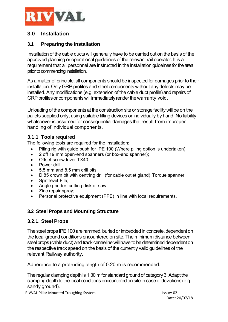

# <span id="page-5-0"></span>**3.0 Installation**

## <span id="page-5-1"></span>**3.1 Preparing the Installation**

Installation of the cable ducts will generally have to be carried out on the basis of the approved planning or operational guidelines of the relevant rail operator. It is a requirement that all personnel are instructed in the installation guidelines for the area prior to commencing installation.

As a matter of principle, all components should be inspected for damages prior to their installation. Only GRP profiles and steel components without any defects may be installed. Any modifications (e.g. extension of the cable duct profile) and repairs of GRP profiles or components will immediately render the warranty void.

Unloading of the components at the construction site or storage facility will be on the pallets supplied only, using suitable lifting devices or individually by hand. No liability whatsoever is assumed for consequential damages that result from improper handling of individual components.

## <span id="page-5-2"></span>**3.1.1 Tools required**

The following tools are required for the installation:

- Piling rig with quide bush for IPE 100 (Where piling option is undertaken);
- 2 off 19 mm open-end spanners (or box-end spanner);
- Offset screwdriver TX40;
- Power drill;
- 5.5 mm and 8.5 mm drill bits;
- D 85 crown bit with centring drill (for cable outlet gland) Torque spanner
- Spirit level File;
- Angle grinder, cutting disk or saw;
- Zinc repair spray;
- Personal protective equipment (PPE) in line with local requirements.

## <span id="page-5-3"></span>**3.2 Steel Props and Mounting Structure**

## **3.2.1. Steel Props**

The steel props IPE 100 are rammed, buried or imbedded in concrete, dependent on the local ground conditions encountered on site. The minimum distance between steel props (cable duct) and track centreline will have to be determined dependent on the respective track speed on the basis of the currently valid guidelines of the relevant Railway authority.

Adherence to a protruding length of 0.20 m is recommended.

The regular clamping depth is 1.30 m for standard ground of category 3. Adapt the clamping depth to the local conditions encountered on site in case of deviations (e.g. sandy ground).

RIVVAL Pillar Mounted Troughing System Issue: 02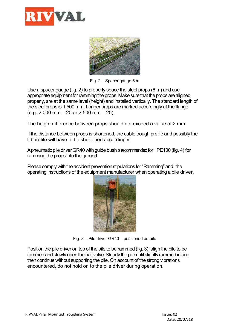



Fig. 2 – Spacer gauge 6 m

Use a spacer gauge (fig. 2) to properly space the steel props (6 m) and use appropriate equipment for ramming the props. Make sure that the props are aligned properly, are at the same level (height) and installed vertically. The standard length of the steel props is 1,500 mm. Longer props are marked accordingly at the flange  $(e.g. 2,000 \text{ mm} = 20 \text{ or } 2,500 \text{ mm} = 25).$ 

The height difference between props should not exceed a value of 2 mm.

If the distance between props is shortened, the cable trough profile and possibly the lid profile will have to be shortened accordingly.

A pneumatic pile driver GR40 with guide bush is recommended for IPE100 (fig. 4) for ramming the props into the ground.

Please comply with the accident prevention stipulations for "Ramming" and the operating instructions of the equipment manufacturer when operating a pile driver.



Fig. 3 – Pile driver GR40 – positioned on pile

Position the pile driver on top of the pile to be rammed (fig. 3), align the pile to be rammed and slowly open the ball valve. Steady the pile until slightly rammed in and then continue without supporting the pile. On account of the strong vibrations encountered, do not hold on to the pile driver during operation.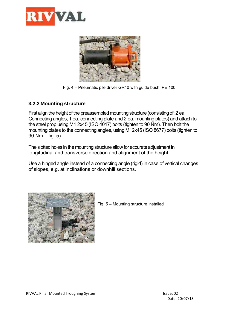



Fig. 4 – Pneumatic pile driver GR40 with guide bush IPE 100

#### <span id="page-7-0"></span>**3.2.2 Mounting structure**

First align the height of the preassembled mounting structure (consisting of: 2 ea. Connecting angles, 1 ea. connecting plate and 2 ea. mounting plates) and attach to the steel prop using M1 2x45 (ISO 4017) bolts (tighten to 90 Nm). Then bolt the mounting plates to the connecting angles, using M12x45 (ISO 8677) bolts (tighten to 90 Nm – fig. 5).

The slotted holes in the mounting structure allow for accurate adjustment in longitudinal and transverse direction and alignment of the height.

Use a hinged angle instead of a connecting angle (rigid) in case of vertical changes of slopes, e.g. at inclinations or downhill sections.



Fig. 5 – Mounting structure installed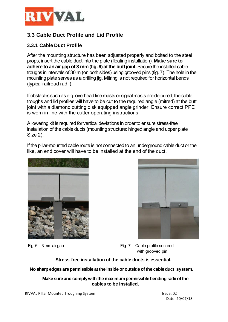

# **3.3 Cable Duct Profile and Lid Profile**

# <span id="page-8-0"></span>**3.3.1 Cable Duct Profile**

After the mounting structure has been adjusted properly and bolted to the steel props, insert the cable duct into the plate (floating installation). **Make sure to adhere to anairgap of 3 mm(fig. 6) atthe buttjoint.**Securethe installedcable troughs in intervals of 30 m (on both sides) using grooved pins (fig. 7). The hole in the mounting plate serves as a drilling iig. Mitring is not required for horizontal bends (typical railroad radii).

If obstacles such as e.g. overhead line masts or signal masts are detoured, the cable troughs and lid profiles will have to be cut to the required angle (mitred) at the butt joint with a diamond cutting disk equipped angle grinder. Ensure correct PPE is worn in line with the cutter operating instructions.

A lowering kit is required for vertical deviations in order to ensure stress-free installation of the cable ducts (mounting structure: hinged angle and upper plate Size 2).

If the pillar-mounted cable route is not connected to an underground cable duct or the like, an end cover will have to be installed at the end of the duct.





Fig. 6 – 3 mm air gap extending Fig. 7 – Cable profile secured with grooved pin

#### **Stress-free installation of the cable ducts is essential.**

**No sharpedges are permissible at the inside oroutside of the cableduct system.**

**Make sure andcomplywiththe maximumpermissiblebendingradiiof the cables to be installed.**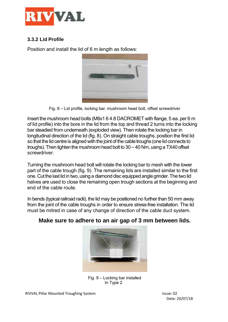

# **3.3.2 Lid Profile**

Position and install the lid of 6 m length as follows:



Fig. 8 – Lid profile, locking bar, mushroom head bolt, offset screwdriver

Insert the mushroom head bolts (M8x1 6 4.8 DACROMET with flange, 5 ea. per 6 m of lid profile) into the bore in the lid from the top and thread 2 turns into the locking bar steadied from underneath (exploded view). Then rotate the locking bar in longitudinal direction of the lid (fig. 8). On straight cable troughs, position the first lid so that the lid centre is aligned with the joint of the cable troughs (one lid connects to troughs). Then tighten the mushroom head bolt to  $30 - 40$  Nm, using a TX40 offset screwdriver.

Turning the mushroom head bolt will rotate the locking bar to mesh with the lower part of the cable trough (fig. 9). The remaining lids are installed similar to the first one. Cut the last lid in two, using a diamond disc equipped angle grinder. The two lid halves are used to close the remaining open trough sections at the beginning and end of the cable route.

In bends (typical railroad radii), the lid may be positioned no further than 50 mm away from the joint of the cable troughs in order to ensure stress-free installation. The lid must be mitred in case of any change of direction of the cable duct system.

# **Make sure to adhere to an air gap of 3 mm between lids.**



Fig. 9 – Locking bar installed In Type 2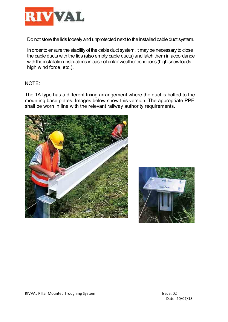

Do not store the lids loosely and unprotected next to the installed cable duct system.

In order to ensure the stability of the cable duct system, it may be necessary to close the cable ducts with the lids (also empty cable ducts) and latch them in accordance with the installation instructions in case of unfair weather conditions (high snow loads, high wind force, etc.).

#### NOTE:

The 1A type has a different fixing arrangement where the duct is bolted to the mounting base plates. Images below show this version. The appropriate PPE shall be worn in line with the relevant railway authority requirements.



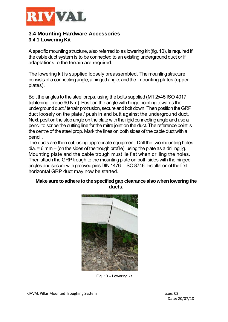

#### <span id="page-11-1"></span><span id="page-11-0"></span>**3.4 Mounting Hardware Accessories 3.4.1 Lowering Kit**

A specific mounting structure, also referred to as lowering kit (fig. 10), is required if the cable duct system is to be connected to an existing underground duct or if adaptations to the terrain are required.

The lowering kit is supplied loosely preassembled. The mounting structure consistsof a connectingangle,a hingedangle,andthe mounting plates (upper plates).

Bolt the angles to the steel props, using the bolts supplied (M1 2x45 ISO 4017, tightening torque 90 Nm). Position the angle with hinge pointing towards the underground duct / terrain protrusion, secure and bolt down. Then position the GRP duct loosely on the plate / push in and butt against the underground duct. Next, position the stop angle on the plate with the rigid connecting angle and use a pencil to scribe the cutting line for the mitre joint on the duct. The reference point is the centre of the steel prop. Mark the lines on both sides of the cable duct with a pencil.

The ducts are then cut, using appropriate equipment. Drill the two mounting holes –  $dia = 6$  mm – (on the sides of the trough profile), using the plate as a drilling jig. Mounting plate and the cable trough must lie flat when drilling the holes. Then attach the GRP trough to the mounting plate on both sides with the hinged angles and secure with grooved pins DIN 1476 – ISO 8746. Installation of the first horizontal GRP duct may now be started.

#### **Make sure to adhere to the specifiedgap clearance alsowhenlowering the ducts.**



Fig. 10 – Lowering kit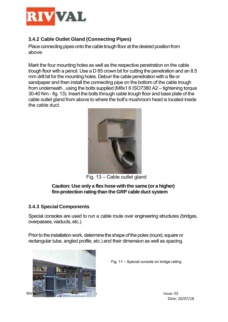

# **3.4.2 Cable Outlet Gland (Connecting Pipes)**

Place connecting pipes onto the cable trough floor at the desired position from above.

Mark the four mounting holes as well as the respective penetration on the cable trough floor with a pencil. Use a D 85 crown bit for cutting the penetration and an 8.5 mm drill bit for the mounting holes. Deburr the cable penetration with a file or sandpaper and then install the connecting pipe on the bottom of the cable trough from underneath , using the bolts supplied (M8x1 6 ISO7380 A2 – tightening torque 30-40 Nm - fig. 13). Insert the bolts through cable trough floor and base plate of the cable outlet gland from above to where the bolt's mushroom head is located inside the cable duct.



Fig. 13 – Cable outlet gland

#### **Caution: Use only a flex hose withthe same (or a higher) fire-protection rating than the GRP cable duct system**

#### <span id="page-12-0"></span>**3.4.3 Special Components**

Special consoles are used to run a cable route over engineering structures (bridges, overpasses, viaducts, etc.).

Prior to the installation work, determine the shape of the poles (round, square or rectangular tube, angled profile, etc.) and their dimension as well as spacing.



Fig. 11 – Special console on bridge railing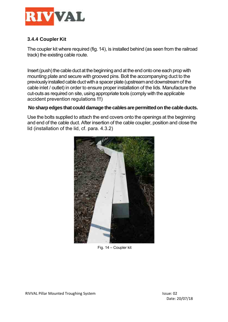

# <span id="page-13-0"></span>**3.4.4 Coupler Kit**

The coupler kit where required (fig. 14), is installed behind (as seen from the railroad track) the existing cable route.

Insert (push) the cable duct at the beginning and at the end onto one each prop with mounting plate and secure with grooved pins. Bolt the accompanying duct to the previously installed cable duct with a spacer plate (upstream and downstream of the cable inlet / outlet) in order to ensure proper installation of the lids. Manufacture the cut-outs as required on site, using appropriate tools (comply with the applicable accident prevention regulations !!!)

#### **No sharpedges that coulddamage the cables arepermittedon the cableducts.**

Use the bolts supplied to attach the end covers onto the openings at the beginning and end of the cable duct. After insertion of the cable coupler, position and close the lid (installation of the lid, cf. para. 4.3.2)



Fig. 14 – Coupler kit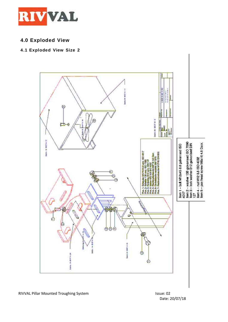

<span id="page-14-0"></span>**4.0 Exploded View**

#### **4.1 Exploded View Size 2**

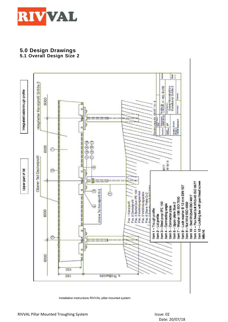

#### **5.0 Design Drawings 5.1 Overall Design Size 2**



Installation instructions RIVVAL pillar-mounted system